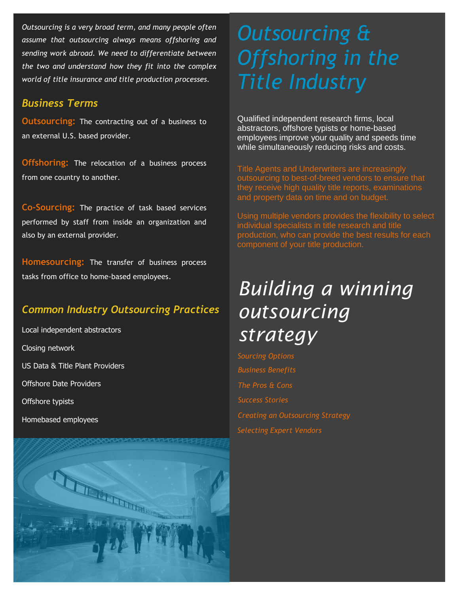*Outsourcing is a very broad term, and many people often assume that outsourcing always means offshoring and sending work abroad. We need to differentiate between the two and understand how they fit into the complex world of title insurance and title production processes.*

### *Business Terms*

**Outsourcing:** The contracting out of a business to an external U.S. based provider.

**Offshoring:** The relocation of a business process from one country to another.

**Co-Sourcing:** The practice of task based services performed by staff from inside an organization and also by an external provider.

**Homesourcing:** The transfer of business process tasks from office to home-based employees.

# *Common Industry Outsourcing Practices*

Local independent abstractors Closing network US Data & Title Plant Providers Offshore Date Providers Offshore typists Homebased employees



# *Outsourcing & Offshoring in the Title Industry*

Qualified independent research firms, local abstractors, offshore typists or home-based employees improve your quality and speeds time while simultaneously reducing risks and costs.

Title Agents and Underwriters are increasingly outsourcing to best-of-breed vendors to ensure that they receive high quality title reports, examinations and property data on time and on budget.

Using multiple vendors provides the flexibility to select individual specialists in title research and title production, who can provide the best results for each component of your title production.

# *Building a winning outsourcing strategy*

*Business Benefits The Pros & Cons Success Stories Selecting Expert Vendors Creating an Outsourcing Strategy Sourcing Options*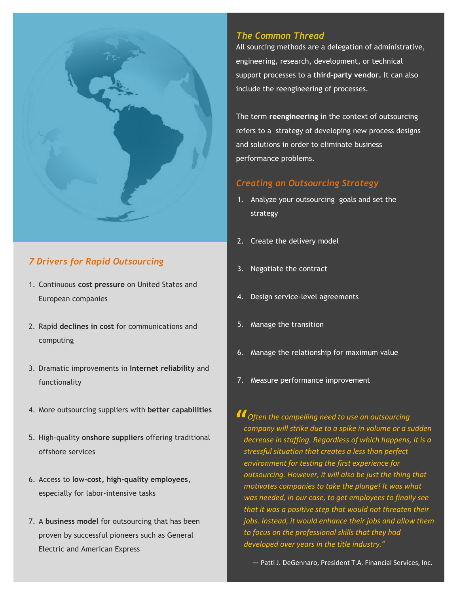

## *7 Drivers for Rapid Outsourcing*

- 1. Continuous **cost pressure** on United States and European companies
- 2. Rapid **declines in cost** for communications and computing
- 3. Dramatic improvements in **Internet reliability** and functionality
- 4. More outsourcing suppliers with **better capabilities**
- 5. High-quality **onshore suppliers** offering traditional offshore services
- 6. Access to **low-cost, high-quality employees**, especially for labor-intensive tasks
- 7. A **business model** for outsourcing that has been proven by successful pioneers such as General Electric and American Express

### *The Common Thread*

All sourcing methods are a delegation of administrative, engineering, research, development, or technical support processes to a **third-party vendor.** It can also include the reengineering of processes.

The term **reengineering** in the context of outsourcing refers to a strategy of developing new process designs and solutions in order to eliminate business performance problems.

### *Creating an Outsourcing Strategy*

- 1. Analyze your outsourcing goals and set the strategy
- 2. Create the delivery model
- 3. Negotiate the contract
- 4. Design service-level agreements
- 5. Manage the transition
- 6. Manage the relationship for maximum value
- 7. Measure performance improvement

*CO Often the compelling need to use an outsourcing company will strike due to a spike in volume or a set company will strike due to a spike in volume or a sudden decrease in staffing. Regardless of which happens, it is a stressful situation that creates a less than perfect environment for testing the first experience for outsourcing. However, it will also be just the thing that motivates companies to take the plunge! It was what was needed, in our case, to get employees to finally see that it was a positive step that would not threaten their jobs. Instead, it would enhance their jobs and allow them to focus on the professional skills that they had developed over years in the title industry."*

*—* Patti J. DeGennaro, President T.A. Financial Services, Inc.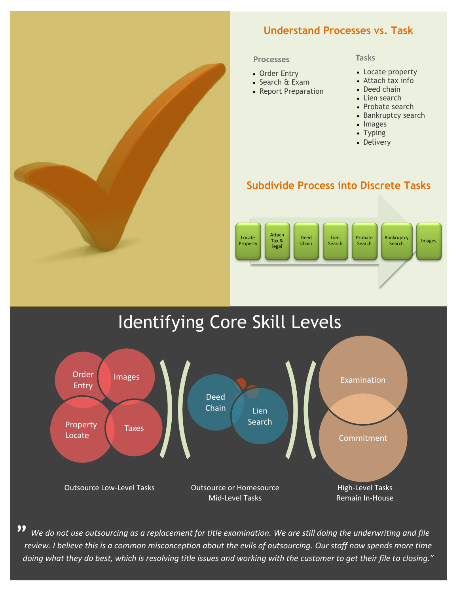## **Understand Processes vs. Task**

#### **Processes**

- Order Entry
- Search & Exam
- Report Preparation

#### **Tasks**

- Locate property
- Attach tax info
- Deed chain
- Lien search
- Probate search
- Bankruptcy search
- Images
- Typing
- Delivery

### **Subdivide Process into Discrete Tasks**



# Identifying Core Skill Levels



 *We do not use outsourcing as a replacement for title examination. We are still doing the underwriting and file review. I believe this is a common misconception about the evils of outsourcing. Our staff now spends more time doing what they do best, which is resolving title issues and working with the customer to get their file to closing."* **"**